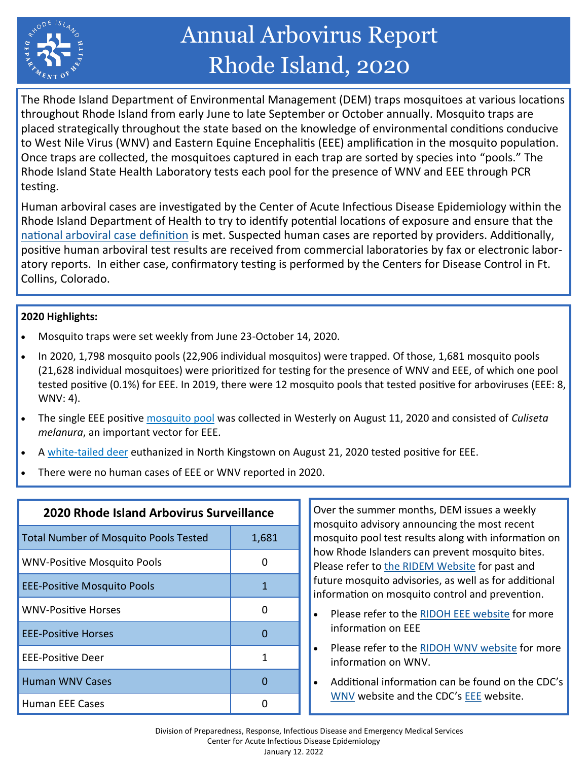

# Annual Arbovirus Report Rhode Island, 2020

The Rhode Island Department of Environmental Management (DEM) traps mosquitoes at various locations throughout Rhode Island from early June to late September or October annually. Mosquito traps are placed strategically throughout the state based on the knowledge of environmental conditions conducive to West Nile Virus (WNV) and Eastern Equine Encephalitis (EEE) amplification in the mosquito population. Once traps are collected, the mosquitoes captured in each trap are sorted by species into "pools." The Rhode Island State Health Laboratory tests each pool for the presence of WNV and EEE through PCR testing.

Human arboviral cases are investigated by the Center of Acute Infectious Disease Epidemiology within the Rhode Island Department of Health to try to identify potential locations of exposure and ensure that the [national arboviral case definition](https://ndc.services.cdc.gov/case-definitions/arboviral-diseases-neuroinvasive-and-non-neuroinvasive-2015/) is met. Suspected human cases are reported by providers. Additionally, positive human arboviral test results are received from commercial laboratories by fax or electronic laboratory reports. In either case, confirmatory testing is performed by the Centers for Disease Control in Ft. Collins, Colorado.

#### **2020 Highlights:**

- Mosquito traps were set weekly from June 23-October 14, 2020.
- In 2020, 1,798 mosquito pools (22,906 individual mosquitos) were trapped. Of those, 1,681 mosquito pools (21,628 individual mosquitoes) were prioritized for testing for the presence of WNV and EEE, of which one pool tested positive (0.1%) for EEE. In 2019, there were 12 mosquito pools that tested positive for arboviruses (EEE: 8, WNV: 4).
- The single EEE positive [mosquito pool](https://www.ri.gov/press/view/39152) was collected in Westerly on August 11, 2020 and consisted of *Culiseta melanura*, an important vector for EEE.
- A white-[tailed deer](https://www.ri.gov/press/view/39220) euthanized in North Kingstown on August 21, 2020 tested positive for EEE.
- There were no human cases of EEE or WNV reported in 2020.

| 2020 Rhode Island Arbovirus Surveillance     |       |  |  |  |  |
|----------------------------------------------|-------|--|--|--|--|
| <b>Total Number of Mosquito Pools Tested</b> | 1,681 |  |  |  |  |
| <b>WNV-Positive Mosquito Pools</b>           | 0     |  |  |  |  |
| <b>EEE-Positive Mosquito Pools</b>           | 1     |  |  |  |  |
| <b>WNV-Positive Horses</b>                   | O     |  |  |  |  |
| <b>EEE-Positive Horses</b>                   | 0     |  |  |  |  |
| EEE-Positive Deer                            | 1     |  |  |  |  |
| <b>Human WNV Cases</b>                       |       |  |  |  |  |
| Human EEE Cases                              |       |  |  |  |  |

Over the summer months, DEM issues a weekly mosquito advisory announcing the most recent mosquito pool test results along with information on how Rhode Islanders can prevent mosquito bites. Please refer to [the RIDEM Website](http://www.dem.ri.gov/programs/agriculture/mosquito-control.php) for past and future mosquito advisories, as well as for additional information on mosquito control and prevention.

- Please refer to the [RIDOH EEE website](https://health.ri.gov/diseases/mosquitoes/?parm=46) for more information on EEE
- Please refer to the [RIDOH WNV website](https://health.ri.gov/diseases/mosquitoes/?parm=109) for more information on WNV.
- Additional information can be found on the CDC's [WNV](https://www.cdc.gov/westnile/index.html) website and the CDC's **EEE** website.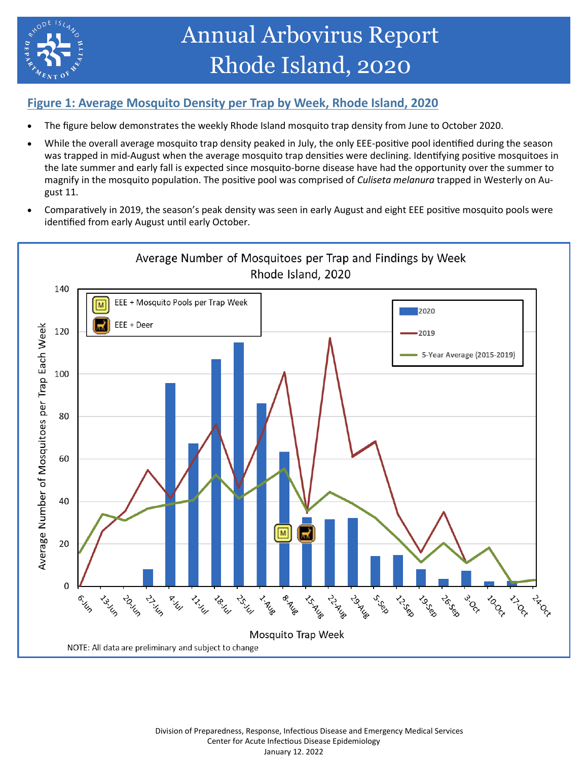

## **Figure 1: Average Mosquito Density per Trap by Week, Rhode Island, 2020**

- The figure below demonstrates the weekly Rhode Island mosquito trap density from June to October 2020.
- While the overall average mosquito trap density peaked in July, the only EEE-positive pool identified during the season was trapped in mid-August when the average mosquito trap densities were declining. Identifying positive mosquitoes in the late summer and early fall is expected since mosquito-borne disease have had the opportunity over the summer to magnify in the mosquito population. The positive pool was comprised of *Culiseta melanura* trapped in Westerly on August 11*.*
- Comparatively in 2019, the season's peak density was seen in early August and eight EEE positive mosquito pools were identified from early August until early October.

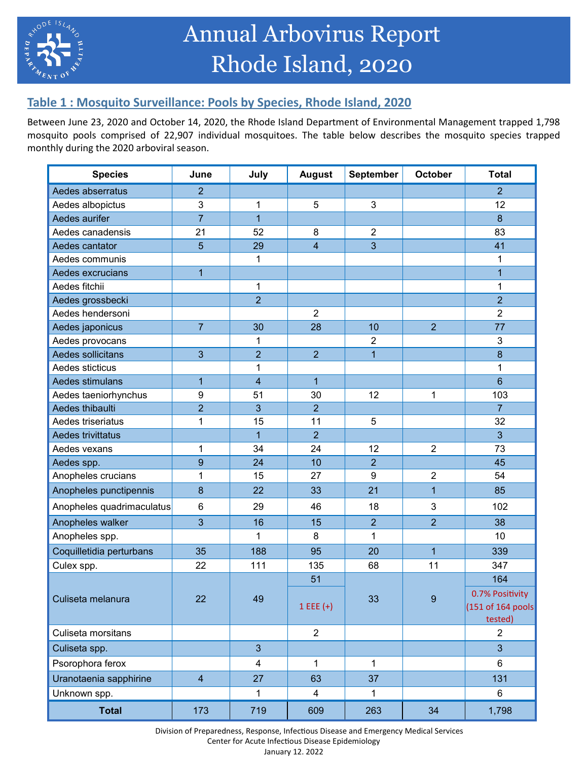

# **Table 1 : Mosquito Surveillance: Pools by Species, Rhode Island, 2020**

Between June 23, 2020 and October 14, 2020, the Rhode Island Department of Environmental Management trapped 1,798 mosquito pools comprised of 22,907 individual mosquitoes. The table below describes the mosquito species trapped monthly during the 2020 arboviral season.

| <b>Species</b>            | June           | July                    | <b>August</b>  | September      | October        | <b>Total</b>      |
|---------------------------|----------------|-------------------------|----------------|----------------|----------------|-------------------|
| Aedes abserratus          | $\overline{2}$ |                         |                |                |                | $\overline{2}$    |
| Aedes albopictus          | 3              | 1                       | 5              | 3              |                | 12                |
| Aedes aurifer             | $\overline{7}$ | $\overline{1}$          |                |                |                | 8                 |
| Aedes canadensis          | 21             | 52                      | 8              | $\overline{2}$ |                | 83                |
| Aedes cantator            | 5              | 29                      | $\overline{4}$ | 3              |                | 41                |
| Aedes communis            |                | 1                       |                |                |                | 1                 |
| Aedes excrucians          | $\overline{1}$ |                         |                |                |                | $\overline{1}$    |
| Aedes fitchii             |                | 1                       |                |                |                | 1                 |
| Aedes grossbecki          |                | $\overline{2}$          |                |                |                | $\overline{2}$    |
| Aedes hendersoni          |                |                         | $\overline{2}$ |                |                | $\overline{2}$    |
| Aedes japonicus           | $\overline{7}$ | 30                      | 28             | 10             | $\overline{2}$ | 77                |
| Aedes provocans           |                | 1                       |                | $\overline{2}$ |                | 3                 |
| Aedes sollicitans         | 3              | $\overline{2}$          | $\overline{2}$ | $\overline{1}$ |                | 8                 |
| Aedes sticticus           |                | 1                       |                |                |                | 1                 |
| Aedes stimulans           | $\mathbf{1}$   | $\overline{4}$          | $\overline{1}$ |                |                | $6\phantom{1}$    |
| Aedes taeniorhynchus      | 9              | 51                      | 30             | 12             | 1              | 103               |
| Aedes thibaulti           | $\overline{2}$ | 3                       | $\overline{2}$ |                |                | 7                 |
| Aedes triseriatus         | 1              | 15                      | 11             | 5              |                | 32                |
| Aedes trivittatus         |                | $\overline{1}$          | $\overline{2}$ |                |                | $\overline{3}$    |
| Aedes vexans              | 1              | 34                      | 24             | 12             | $\overline{2}$ | 73                |
| Aedes spp.                | 9              | 24                      | 10             | $\overline{2}$ |                | 45                |
| Anopheles crucians        | 1              | 15                      | 27             | 9              | $\overline{2}$ | 54                |
| Anopheles punctipennis    | 8              | 22                      | 33             | 21             | $\overline{1}$ | 85                |
| Anopheles quadrimaculatus | $6\phantom{1}$ | 29                      | 46             | 18             | $\mathbf{3}$   | 102               |
| Anopheles walker          | 3              | 16                      | 15             | $\overline{2}$ | $\overline{2}$ | 38                |
| Anopheles spp.            |                | 1                       | 8              | 1              |                | 10                |
| Coquilletidia perturbans  | 35             | 188                     | 95             | 20             | $\overline{1}$ | 339               |
| Culex spp.                | 22             | 111                     | 135            | 68             | 11             | 347               |
|                           | 22             | 49                      | 51             | 33             | 9              | 164               |
| Culiseta melanura         |                |                         |                |                |                | 0.7% Positivity   |
|                           |                |                         | $1EE(+)$       |                |                | (151 of 164 pools |
|                           |                |                         |                |                |                | tested)           |
| Culiseta morsitans        |                |                         | $\overline{2}$ |                |                | $\overline{2}$    |
| Culiseta spp.             |                | 3                       |                |                |                | $\overline{3}$    |
| Psorophora ferox          |                | $\overline{\mathbf{4}}$ | 1              | $\mathbf{1}$   |                | $6\phantom{1}$    |
| Uranotaenia sapphirine    | $\overline{4}$ | 27                      | 63             | 37             |                | 131               |
| Unknown spp.              |                | 1                       | $\overline{4}$ | $\mathbf{1}$   |                | 6                 |
| <b>Total</b>              | 173            | 719                     | 609            | 263            | 34             | 1,798             |

 Division of Preparedness, Response, Infectious Disease and Emergency Medical Services Center for Acute Infectious Disease Epidemiology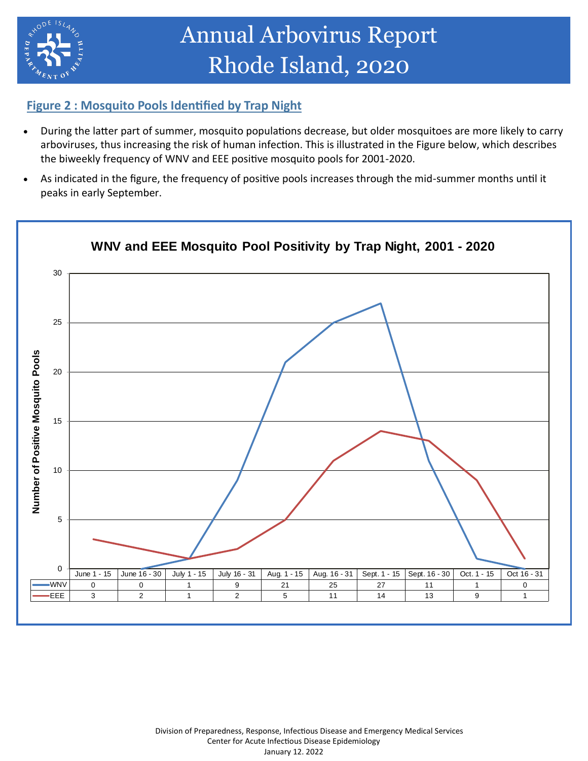

# Annual Arbovirus Report Rhode Island, 2020

### **Figure 2 : Mosquito Pools Identified by Trap Night**

- During the latter part of summer, mosquito populations decrease, but older mosquitoes are more likely to carry arboviruses, thus increasing the risk of human infection. This is illustrated in the Figure below, which describes the biweekly frequency of WNV and EEE positive mosquito pools for 2001-2020.
- As indicated in the figure, the frequency of positive pools increases through the mid-summer months until it peaks in early September.

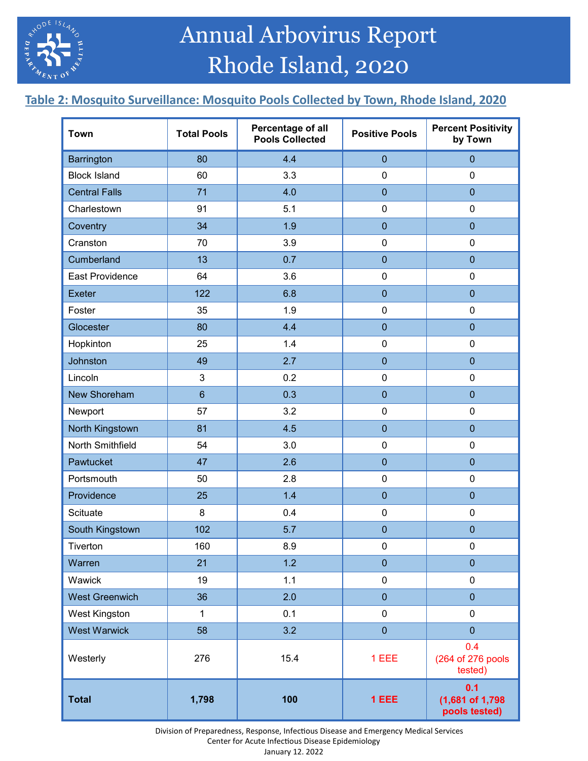

# **Table 2: Mosquito Surveillance: Mosquito Pools Collected by Town, Rhode Island, 2020**

| <b>Town</b>            | <b>Total Pools</b> | Percentage of all<br><b>Pools Collected</b> | <b>Positive Pools</b> | <b>Percent Positivity</b><br>by Town     |  |
|------------------------|--------------------|---------------------------------------------|-----------------------|------------------------------------------|--|
| <b>Barrington</b>      | 80                 | 4.4                                         | $\mathbf{0}$          | $\overline{0}$                           |  |
| <b>Block Island</b>    | 60                 | 3.3                                         | $\pmb{0}$             | $\pmb{0}$                                |  |
| <b>Central Falls</b>   | 71                 | 4.0                                         | $\overline{0}$        | $\overline{0}$                           |  |
| Charlestown            | 91                 | 5.1                                         | $\pmb{0}$             | $\pmb{0}$                                |  |
| Coventry               | 34                 | 1.9                                         | $\mathbf 0$           | $\overline{0}$                           |  |
| Cranston               | 70                 | 3.9                                         | $\pmb{0}$             | $\mathbf 0$                              |  |
| Cumberland             | 13                 | 0.7                                         | $\mathbf 0$           | $\overline{0}$                           |  |
| <b>East Providence</b> | 64                 | 3.6                                         | $\pmb{0}$             | $\mathbf 0$                              |  |
| <b>Exeter</b>          | 122                | 6.8                                         | $\overline{0}$        | $\overline{0}$                           |  |
| Foster                 | 35                 | 1.9                                         | $\pmb{0}$             | $\mathbf 0$                              |  |
| Glocester              | 80                 | 4.4                                         | $\overline{0}$        | $\overline{0}$                           |  |
| Hopkinton              | 25                 | 1.4                                         | $\pmb{0}$             | $\pmb{0}$                                |  |
| Johnston               | 49                 | 2.7                                         | $\mathbf{0}$          | $\mathbf 0$                              |  |
| Lincoln                | 3                  | 0.2                                         | $\boldsymbol{0}$      | 0                                        |  |
| New Shoreham           | $6\phantom{a}$     | 0.3                                         | $\mathbf{0}$          | $\overline{0}$                           |  |
| Newport                | 57                 | 3.2                                         | $\pmb{0}$             | $\pmb{0}$                                |  |
| North Kingstown        | 81                 | 4.5                                         | $\mathbf{0}$          | $\overline{0}$                           |  |
| North Smithfield       | 54                 | 3.0                                         | $\pmb{0}$             | $\pmb{0}$                                |  |
| Pawtucket              | 47                 | 2.6                                         | $\mathbf{0}$          | $\pmb{0}$                                |  |
| Portsmouth             | 50                 | 2.8                                         | $\pmb{0}$             | $\pmb{0}$                                |  |
| Providence             | 25                 | 1.4                                         | $\mathbf 0$           | $\overline{0}$                           |  |
| Scituate               | 8                  | 0.4                                         | $\pmb{0}$             | $\pmb{0}$                                |  |
| South Kingstown        | 102                | 5.7                                         | $\overline{0}$        | $\overline{0}$                           |  |
| Tiverton               | 160                | 8.9                                         | 0                     | 0                                        |  |
| Warren                 | 21                 | 1.2                                         | $\bf 0$               | $\pmb{0}$                                |  |
| Wawick                 | 19                 | 1.1                                         | $\pmb{0}$             | $\pmb{0}$                                |  |
| <b>West Greenwich</b>  | 36                 | 2.0                                         | $\bf 0$               | $\pmb{0}$                                |  |
| <b>West Kingston</b>   | $\mathbf{1}$       | 0.1                                         | $\pmb{0}$             | $\pmb{0}$                                |  |
| <b>West Warwick</b>    | 58                 | 3.2                                         | $\pmb{0}$             | $\overline{0}$                           |  |
| Westerly               | 276                | 15.4                                        | 1 EEE                 | 0.4<br>(264 of 276 pools<br>tested)      |  |
| <b>Total</b>           | 1,798              | 100                                         | 1 EEE                 | 0.1<br>(1,681 of 1,798)<br>pools tested) |  |

 Division of Preparedness, Response, Infectious Disease and Emergency Medical Services Center for Acute Infectious Disease Epidemiology

January 12. 2022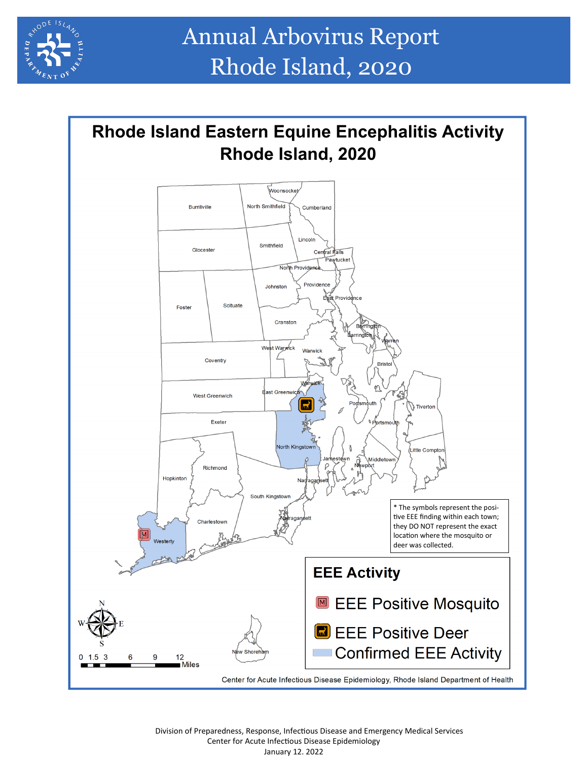



 Division of Preparedness, Response, Infectious Disease and Emergency Medical Services Center for Acute Infectious Disease Epidemiology January 12. 2022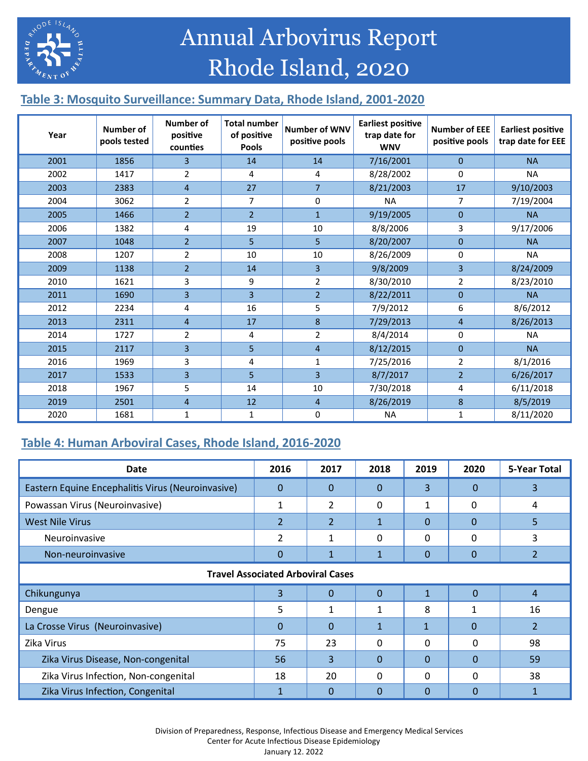

Annual Arbovirus Report Rhode Island, 2020

# **Table 3: Mosquito Surveillance: Summary Data, Rhode Island, 2001-2020**

| Year | <b>Number of</b><br>pools tested | Number of<br>positive<br>counties | <b>Total number</b><br>of positive<br><b>Pools</b> | <b>Number of WNV</b><br>positive pools | <b>Earliest positive</b><br>trap date for<br><b>WNV</b> | <b>Number of EEE</b><br>positive pools | <b>Earliest positive</b><br>trap date for EEE |
|------|----------------------------------|-----------------------------------|----------------------------------------------------|----------------------------------------|---------------------------------------------------------|----------------------------------------|-----------------------------------------------|
| 2001 | 1856                             | $\overline{3}$                    | 14                                                 | 14                                     | 7/16/2001                                               | $\Omega$                               | <b>NA</b>                                     |
| 2002 | 1417                             | $\overline{2}$                    | 4                                                  | 4                                      | 8/28/2002                                               | $\Omega$                               | <b>NA</b>                                     |
| 2003 | 2383                             | $\overline{4}$                    | 27                                                 | $\overline{7}$                         | 8/21/2003                                               | 17                                     | 9/10/2003                                     |
| 2004 | 3062                             | $\overline{2}$                    | $\overline{7}$                                     | 0                                      | <b>NA</b>                                               | $\overline{7}$                         | 7/19/2004                                     |
| 2005 | 1466                             | $\overline{2}$                    | $\overline{2}$                                     | $\mathbf{1}$                           | 9/19/2005                                               | $\mathbf 0$                            | <b>NA</b>                                     |
| 2006 | 1382                             | 4                                 | 19                                                 | 10                                     | 8/8/2006                                                | 3                                      | 9/17/2006                                     |
| 2007 | 1048                             | $\overline{2}$                    | 5                                                  | 5                                      | 8/20/2007                                               | $\Omega$                               | <b>NA</b>                                     |
| 2008 | 1207                             | $\overline{2}$                    | 10                                                 | 10                                     | 8/26/2009                                               | 0                                      | <b>NA</b>                                     |
| 2009 | 1138                             | $\overline{2}$                    | 14                                                 | 3                                      | 9/8/2009                                                | $\overline{3}$                         | 8/24/2009                                     |
| 2010 | 1621                             | 3                                 | 9                                                  | $\overline{2}$                         | 8/30/2010                                               | 2                                      | 8/23/2010                                     |
| 2011 | 1690                             | 3                                 | $\overline{3}$                                     | $\overline{2}$                         | 8/22/2011                                               | $\mathbf{0}$                           | <b>NA</b>                                     |
| 2012 | 2234                             | 4                                 | 16                                                 | 5                                      | 7/9/2012                                                | 6                                      | 8/6/2012                                      |
| 2013 | 2311                             | $\overline{4}$                    | 17                                                 | 8                                      | 7/29/2013                                               | $\overline{4}$                         | 8/26/2013                                     |
| 2014 | 1727                             | 2                                 | 4                                                  | $\overline{2}$                         | 8/4/2014                                                | 0                                      | <b>NA</b>                                     |
| 2015 | 2117                             | $\overline{3}$                    | 5                                                  | $\overline{4}$                         | 8/12/2015                                               | $\Omega$                               | <b>NA</b>                                     |
| 2016 | 1969                             | 3                                 | 4                                                  | 1                                      | 7/25/2016                                               | $\overline{2}$                         | 8/1/2016                                      |
| 2017 | 1533                             | $\overline{3}$                    | 5                                                  | 3                                      | 8/7/2017                                                | $\overline{2}$                         | 6/26/2017                                     |
| 2018 | 1967                             | 5                                 | 14                                                 | 10                                     | 7/30/2018                                               | 4                                      | 6/11/2018                                     |
| 2019 | 2501                             | $\overline{4}$                    | 12                                                 | $\overline{4}$                         | 8/26/2019                                               | 8                                      | 8/5/2019                                      |
| 2020 | 1681                             | $\mathbf{1}$                      | $\mathbf{1}$                                       | 0                                      | <b>NA</b>                                               | $\mathbf{1}$                           | 8/11/2020                                     |

## **Table 4: Human Arboviral Cases, Rhode Island, 2016-2020**

| <b>Date</b>                                       | 2016           | 2017           | 2018         | 2019         | 2020         | 5-Year Total   |  |  |
|---------------------------------------------------|----------------|----------------|--------------|--------------|--------------|----------------|--|--|
| Eastern Equine Encephalitis Virus (Neuroinvasive) | $\Omega$       | 0              | $\Omega$     | 3            | 0            | 3              |  |  |
| Powassan Virus (Neuroinvasive)                    | 1              | 2              | $\Omega$     | 1            | 0            | 4              |  |  |
| <b>West Nile Virus</b>                            | 2              | $\overline{2}$ | $\mathbf{1}$ | 0            | $\Omega$     | 5.             |  |  |
| Neuroinvasive                                     | $\overline{2}$ | 1              | $\Omega$     | 0            | 0            | 3              |  |  |
| Non-neuroinvasive                                 | 0              | $\mathbf{1}$   |              | 0            | $\Omega$     | $\overline{2}$ |  |  |
| <b>Travel Associated Arboviral Cases</b>          |                |                |              |              |              |                |  |  |
| Chikungunya                                       | 3              | $\Omega$       | $\Omega$     | $\mathbf{1}$ | $\Omega$     | $\overline{4}$ |  |  |
| Dengue                                            | 5              | 1              | 1            | 8            | $\mathbf{1}$ | 16             |  |  |
| La Crosse Virus (Neuroinvasive)                   | $\Omega$       | 0              | $\mathbf{1}$ | $\mathbf{1}$ | $\Omega$     | $\mathcal{L}$  |  |  |
| Zika Virus                                        | 75             | 23             | 0            | 0            | 0            | 98             |  |  |
| Zika Virus Disease, Non-congenital                | 56             | 3              | $\Omega$     | $\Omega$     | $\Omega$     | 59             |  |  |
| Zika Virus Infection, Non-congenital              | 18             | 20             | $\Omega$     | 0            | 0            | 38             |  |  |
| Zika Virus Infection, Congenital                  |                | 0              | $\Omega$     | $\Omega$     | $\Omega$     |                |  |  |

 Division of Preparedness, Response, Infectious Disease and Emergency Medical Services Center for Acute Infectious Disease Epidemiology January 12. 2022